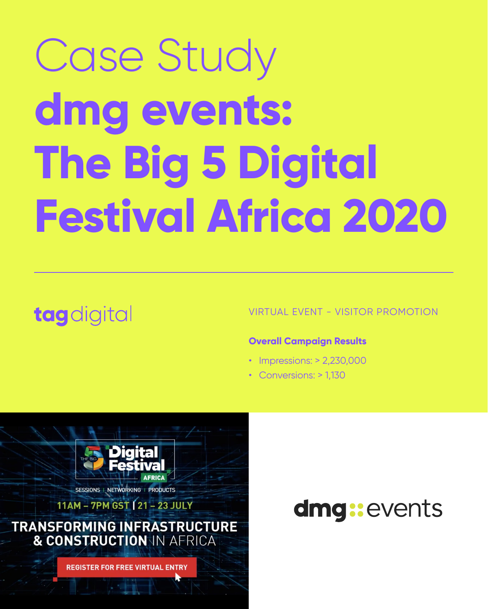# Case Study **dmg events: The Big 5 Digital**

# **Festival Africa 2020**

## tagdigital

#### VIRTUAL EVENT - VISITOR PROMOTION

#### **Overall Campaign Results**

- Impressions: > 2,230,000
- Conversions: > 1,130





NETWORKING | PRODUCTS SESSIONS |

### 11AM - 7PM GST [21 - 23 JULY **TRANSFORMING INFRASTRUCTURE** & CONSTRUCTION IN AFRICA

**REGISTER FOR FREE VIRTUAL ENTRY** 

## dmg:events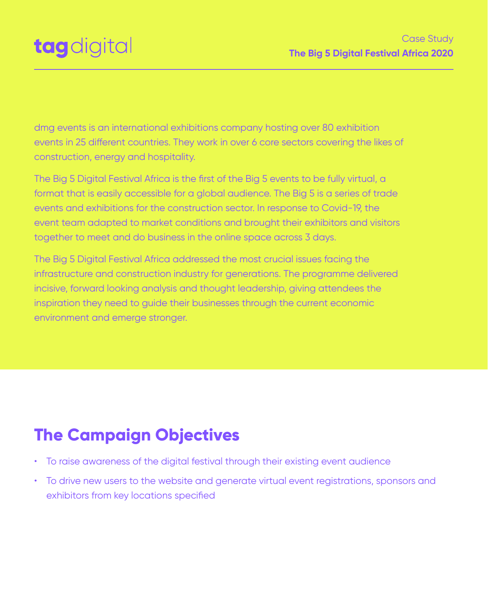dmg events is an international exhibitions company hosting over 80 exhibition events in 25 different countries. They work in over 6 core sectors covering the likes of construction, energy and hospitality.

The Big 5 Digital Festival Africa is the first of the Big 5 events to be fully virtual, a format that is easily accessible for a global audience. The Big 5 is a series of trade events and exhibitions for the construction sector. In response to Covid-19, the

event team adapted to market conditions and brought their exhibitors and visitors together to meet and do business in the online space across 3 days.

The Big 5 Digital Festival Africa addressed the most crucial issues facing the infrastructure and construction industry for generations. The programme delivered incisive, forward looking analysis and thought leadership, giving attendees the inspiration they need to guide their businesses through the current economic environment and emerge stronger.



#### Case Study **The Big 5 Digital Festival Africa 2020**

- To raise awareness of the digital festival through their existing event audience
- To drive new users to the website and generate virtual event registrations, sponsors and exhibitors from key locations specified

### **The Campaign Objectives**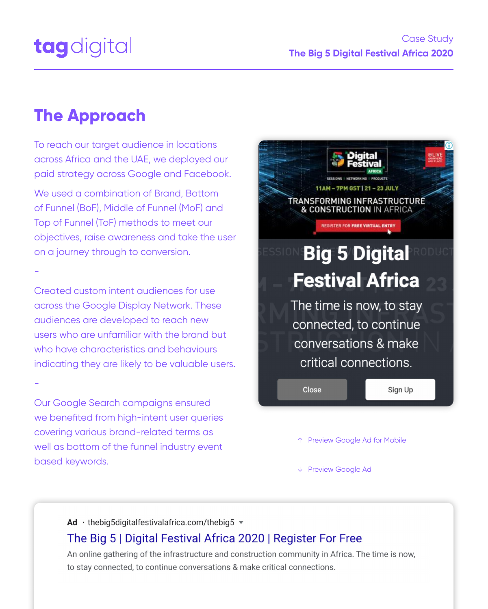To reach our target audience in locations across Africa and the UAE, we deployed our paid strategy across Google and Facebook.

We used a combination of Brand, Bottom of Funnel (BoF), Middle of Funnel (MoF) and Top of Funnel (ToF) methods to meet our objectives, raise awareness and take the user on a journey through to conversion.



-

Created custom intent audiences for use across the Google Display Network. These audiences are developed to reach new users who are unfamiliar with the brand but who have characteristics and behaviours indicating they are likely to be valuable users.

-

Our Google Search campaigns ensured we benefited from high-intent user queries covering various brand-related terms as

well as bottom of the funnel industry event

based keywords.

## **The Approach**



#### Case Study **The Big 5 Digital Festival Africa 2020**

↑ Preview Google Ad for Mobile

↓ Preview Google Ad

#### Ad  $\cdot$  thebig5digitalfestivalafrica.com/thebig5  $\blacktriangledown$

#### The Big 5 | Digital Festival Africa 2020 | Register For Free

An online gathering of the infrastructure and construction community in Africa. The time is now, to stay connected, to continue conversations & make critical connections.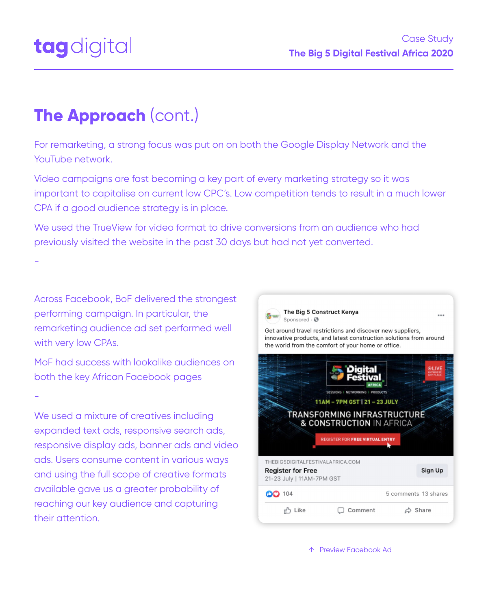For remarketing, a strong focus was put on on both the Google Display Network and the YouTube network.

Video campaigns are fast becoming a key part of every marketing strategy so it was important to capitalise on current low CPC's. Low competition tends to result in a much lower CPA if a good audience strategy is in place.

We used the TrueView for video format to drive conversions from an audience who had previously visited the website in the past 30 days but had not yet converted.

We used a mixture of creatives including expanded text ads, responsive search ads,



The Big 5 Construct Kenya iponsored  $\cdot$   $\mathbf C$ 

Get around travel restrictions and discover new suppliers, innovative products, and latest construction solutions from around the world from the comfort of your home or office.

...





-

Across Facebook, BoF delivered the strongest performing campaign. In particular, the remarketing audience ad set performed well with very low CPAs.

MoF had success with lookalike audiences on both the key African Facebook pages

-

responsive display ads, banner ads and video ads. Users consume content in various ways and using the full scope of creative formats available gave us a greater probability of reaching our key audience and capturing their attention.

## **The Approach** (cont.)

#### Case Study **The Big 5 Digital Festival Africa 2020**

↑ Preview Facebook Ad